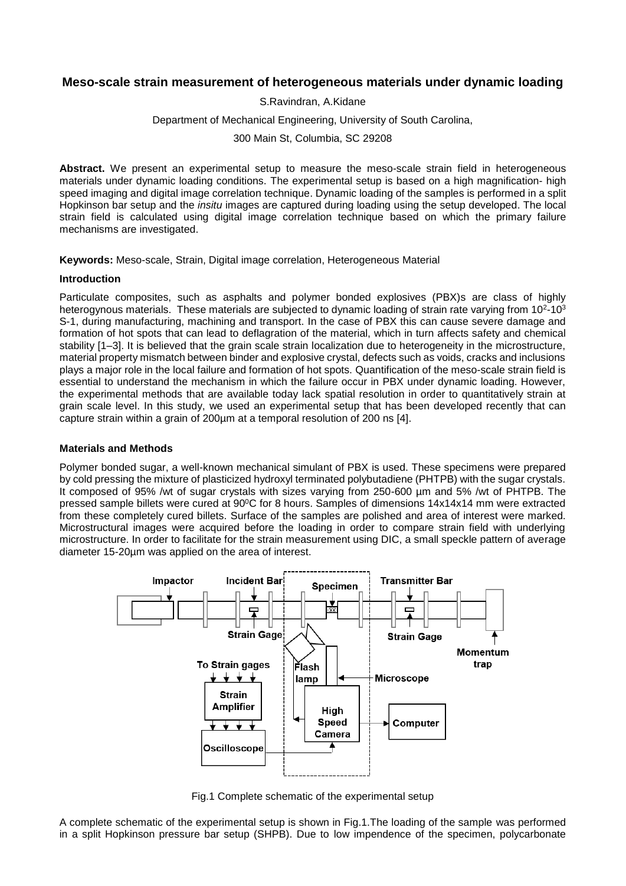# **Meso-scale strain measurement of heterogeneous materials under dynamic loading**

S.Ravindran, A.Kidane

Department of Mechanical Engineering, University of South Carolina,

300 Main St, Columbia, SC 29208

Abstract. We present an experimental setup to measure the meso-scale strain field in heterogeneous materials under dynamic loading conditions. The experimental setup is based on a high magnification- high speed imaging and digital image correlation technique. Dynamic loading of the samples is performed in a split Hopkinson bar setup and the *insitu* images are captured during loading using the setup developed. The local strain field is calculated using digital image correlation technique based on which the primary failure mechanisms are investigated.

**Keywords:** Meso-scale, Strain, Digital image correlation, Heterogeneous Material

### **Introduction**

Particulate composites, such as asphalts and polymer bonded explosives (PBX)s are class of highly heterogynous materials. These materials are subjected to dynamic loading of strain rate varying from 10<sup>2</sup>-10<sup>3</sup> S-1, during manufacturing, machining and transport. In the case of PBX this can cause severe damage and formation of hot spots that can lead to deflagration of the material, which in turn affects safety and chemical stability [1–3]. It is believed that the grain scale strain localization due to heterogeneity in the microstructure, material property mismatch between binder and explosive crystal, defects such as voids, cracks and inclusions plays a major role in the local failure and formation of hot spots. Quantification of the meso-scale strain field is essential to understand the mechanism in which the failure occur in PBX under dynamic loading. However, the experimental methods that are available today lack spatial resolution in order to quantitatively strain at grain scale level. In this study, we used an experimental setup that has been developed recently that can capture strain within a grain of 200µm at a temporal resolution of 200 ns [4].

#### **Materials and Methods**

Polymer bonded sugar, a well-known mechanical simulant of PBX is used. These specimens were prepared by cold pressing the mixture of plasticized hydroxyl terminated polybutadiene (PHTPB) with the sugar crystals. It composed of 95% /wt of sugar crystals with sizes varying from 250-600 µm and 5% /wt of PHTPB. The pressed sample billets were cured at 90°C for 8 hours. Samples of dimensions 14x14x14 mm were extracted from these completely cured billets. Surface of the samples are polished and area of interest were marked. Microstructural images were acquired before the loading in order to compare strain field with underlying microstructure. In order to facilitate for the strain measurement using DIC, a small speckle pattern of average diameter 15-20µm was applied on the area of interest.



Fig.1 Complete schematic of the experimental setup

A complete schematic of the experimental setup is shown in Fig.1.The loading of the sample was performed in a split Hopkinson pressure bar setup (SHPB). Due to low impendence of the specimen, polycarbonate